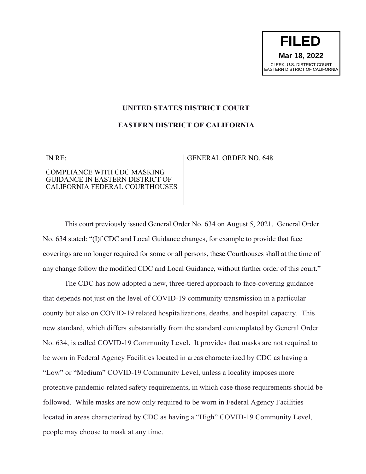## **UNITED STATES DISTRICT COURT**

## **EASTERN DISTRICT OF CALIFORNIA**

IN RE:

## COMPLIANCE WITH CDC MASKING GUIDANCE IN EASTERN DISTRICT OF CALIFORNIA FEDERAL COURTHOUSES

## GENERAL ORDER NO. 648

This court previously issued General Order No. 634 on August 5, 2021. General Order No. 634 stated: "(I)f CDC and Local Guidance changes, for example to provide that face coverings are no longer required for some or all persons, these Courthouses shall at the time of any change follow the modified CDC and Local Guidance, without further order of this court."

The CDC has now adopted a new, three-tiered approach to face-covering guidance that depends not just on the level of COVID-19 community transmission in a particular county but also on COVID-19 related hospitalizations, deaths, and hospital capacity. This new standard, which differs substantially from the standard contemplated by General Order No. 634, is called COVID-19 Community Level**.** It provides that masks are not required to be worn in Federal Agency Facilities located in areas characterized by CDC as having a "Low" or "Medium" COVID-19 Community Level, unless a locality imposes more protective pandemic-related safety requirements, in which case those requirements should be followed. While masks are now only required to be worn in Federal Agency Facilities located in areas characterized by CDC as having a "High" COVID-19 Community Level, people may choose to mask at any time.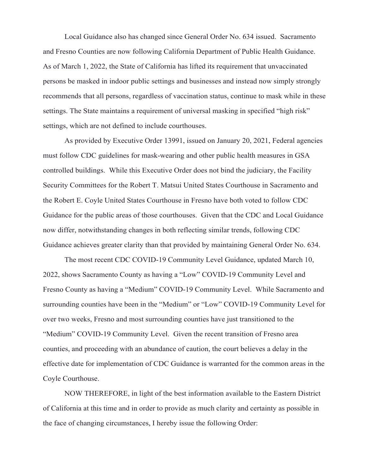Local Guidance also has changed since General Order No. 634 issued.Sacramento and Fresno Counties are now following California Department of Public Health Guidance. As of March 1, 2022, the State of California has lifted its requirement that unvaccinated persons be masked in indoor public settings and businesses and instead now simply strongly recommends that all persons, regardless of vaccination status, continue to mask while in these settings. The State maintains a requirement of universal masking in specified "high risk" settings, which are not defined to include courthouses.

As provided by Executive Order 13991, issued on January 20, 2021, Federal agencies must follow CDC guidelines for mask-wearing and other public health measures in GSA controlled buildings. While this Executive Order does not bind the judiciary, the Facility Security Committees for the Robert T. Matsui United States Courthouse in Sacramento and the Robert E. Coyle United States Courthouse in Fresno have both voted to follow CDC Guidance for the public areas of those courthouses. Given that the CDC and Local Guidance now differ, notwithstanding changes in both reflecting similar trends, following CDC Guidance achieves greater clarity than that provided by maintaining General Order No. 634.

The most recent CDC COVID-19 Community Level Guidance, updated March 10, 2022, shows Sacramento County as having a "Low" COVID-19 Community Level and Fresno County as having a "Medium" COVID-19 Community Level. While Sacramento and surrounding counties have been in the "Medium" or "Low" COVID-19 Community Level for over two weeks, Fresno and most surrounding counties have just transitioned to the "Medium" COVID-19 Community Level. Given the recent transition of Fresno area counties, and proceeding with an abundance of caution, the court believes a delay in the effective date for implementation of CDC Guidance is warranted for the common areas in the Coyle Courthouse.

NOW THEREFORE, in light of the best information available to the Eastern District of California at this time and in order to provide as much clarity and certainty as possible in the face of changing circumstances, I hereby issue the following Order: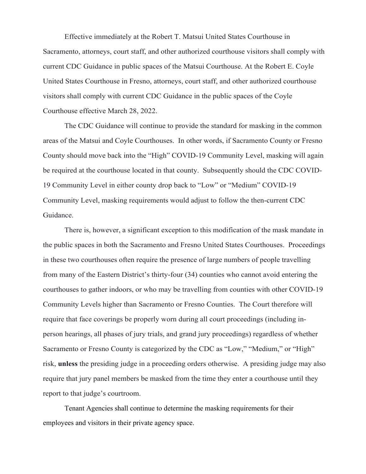Effective immediately at the Robert T. Matsui United States Courthouse in Sacramento, attorneys, court staff, and other authorized courthouse visitors shall comply with current CDC Guidance in public spaces of the Matsui Courthouse. At the Robert E. Coyle United States Courthouse in Fresno, attorneys, court staff, and other authorized courthouse visitors shall comply with current CDC Guidance in the public spaces of the Coyle Courthouse effective March 28, 2022.

The CDC Guidance will continue to provide the standard for masking in the common areas of the Matsui and Coyle Courthouses. In other words, if Sacramento County or Fresno County should move back into the "High" COVID-19 Community Level, masking will again be required at the courthouse located in that county. Subsequently should the CDC COVID-19 Community Level in either county drop back to "Low" or "Medium" COVID-19 Community Level, masking requirements would adjust to follow the then-current CDC Guidance.

There is, however, a significant exception to this modification of the mask mandate in the public spaces in both the Sacramento and Fresno United States Courthouses. Proceedings in these two courthouses often require the presence of large numbers of people travelling from many of the Eastern District's thirty-four (34) counties who cannot avoid entering the courthouses to gather indoors, or who may be travelling from counties with other COVID-19 Community Levels higher than Sacramento or Fresno Counties. The Court therefore will require that face coverings be properly worn during all court proceedings (including inperson hearings, all phases of jury trials, and grand jury proceedings) regardless of whether Sacramento or Fresno County is categorized by the CDC as "Low," "Medium," or "High" risk, **unless** the presiding judge in a proceeding orders otherwise. A presiding judge may also require that jury panel members be masked from the time they enter a courthouse until they report to that judge's courtroom.

Tenant Agencies shall continue to determine the masking requirements for their employees and visitors in their private agency space.